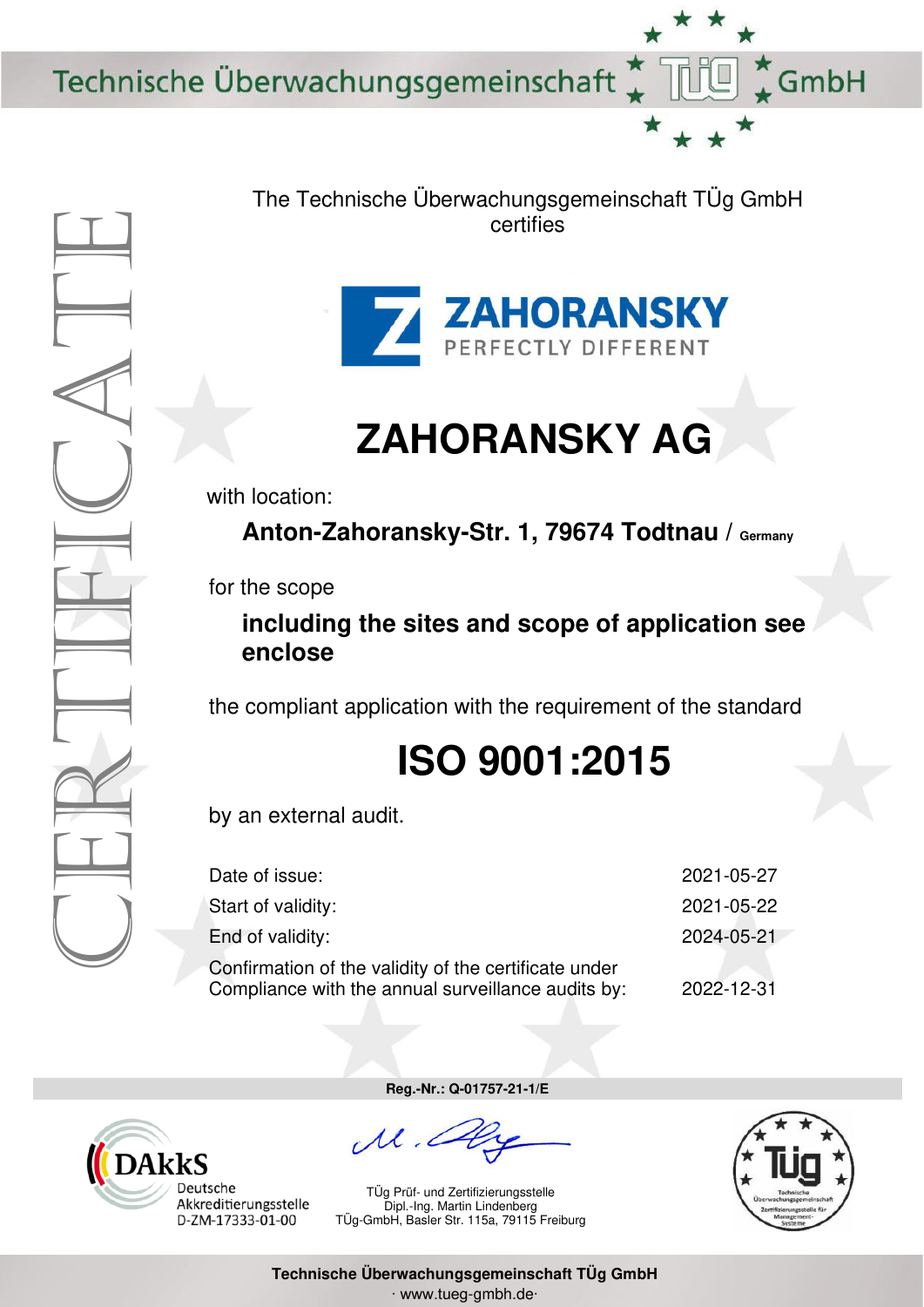Technische Überwachungsgemeinschaft



The Technische Überwachungsgemeinschaft TÜg GmbH certifies



## **ZAHORANSKY AG**

with location:

Anton-Zahoransky-Str. 1, 79674 Todtnau / Germany

for the scope

## **including the sites and scope of application see enclose**

the compliant application with the requirement of the standard

## **ISO 9001:2015**

by an external audit.

| Date of issue:                                                                                              | 2021-05-27 |
|-------------------------------------------------------------------------------------------------------------|------------|
| Start of validity:                                                                                          | 2021-05-22 |
| End of validity:                                                                                            | 2024-05-21 |
| Confirmation of the validity of the certificate under<br>Compliance with the annual surveillance audits by: | 2022-12-31 |



**Reg.-Nr.: Q-01757-21-1/E** 

TÜg Prüf- und Zertifizierungsstelle Dipl.-Ing. Martin Lindenberg TÜg-GmbH, Basler Str. 115a, 79115 Freiburg



GmbH

**Technische Überwachungsgemeinschaft TÜg GmbH**  ∙ www.tueg-gmbh.de∙